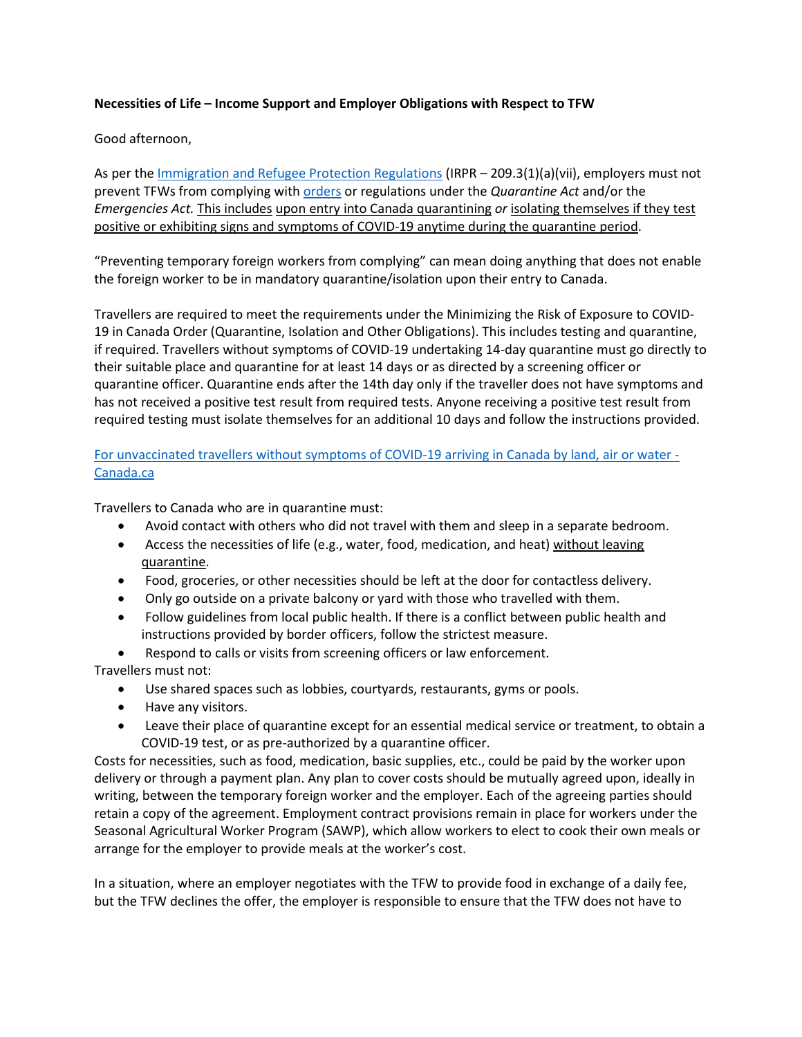## **Necessities of Life – Income Support and Employer Obligations with Respect to TFW**

## Good afternoon,

As per the [Immigration and Refugee Protection Regulations](https://can01.safelinks.protection.outlook.com/?url=https%3A%2F%2Flaws-lois.justice.gc.ca%2Feng%2Fregulations%2FSOR-2002-227%2Fsection-209.3.html&data=04%7C01%7CDIvany%40kairoscanada.org%7C796fc10773174a02d4d108da17fc3cc2%7Ccf18b5a826784011931215f0f7157574%7C0%7C0%7C637848669360045589%7CUnknown%7CTWFpbGZsb3d8eyJWIjoiMC4wLjAwMDAiLCJQIjoiV2luMzIiLCJBTiI6Ik1haWwiLCJXVCI6Mn0%3D%7C3000&sdata=1XPxDpoVNe1HS4kn9SleEi1puACVHh3PHf%2BsnN4qG9M%3D&reserved=0) (IRPR – 209.3(1)(a)(vii), employers must not prevent TFWs from complying wit[h orders](https://can01.safelinks.protection.outlook.com/?url=https%3A%2F%2Forders-in-council.canada.ca%2Fattachment.php%3Fattach%3D41803%26lang%3Den&data=04%7C01%7CDIvany%40kairoscanada.org%7C796fc10773174a02d4d108da17fc3cc2%7Ccf18b5a826784011931215f0f7157574%7C0%7C0%7C637848669360045589%7CUnknown%7CTWFpbGZsb3d8eyJWIjoiMC4wLjAwMDAiLCJQIjoiV2luMzIiLCJBTiI6Ik1haWwiLCJXVCI6Mn0%3D%7C3000&sdata=XBEUlT2lcG7GNsBB2T3E9Mu7gesWX%2BgH4V2xE3V3Zq4%3D&reserved=0) or regulations under the *Quarantine Act* and/or the *Emergencies Act.* This includes upon entry into Canada quarantining *or* isolating themselves if they test positive or exhibiting signs and symptoms of COVID-19 anytime during the quarantine period.

"Preventing temporary foreign workers from complying" can mean doing anything that does not enable the foreign worker to be in mandatory quarantine/isolation upon their entry to Canada.

Travellers are required to meet the requirements under the Minimizing the Risk of Exposure to COVID-19 in Canada Order (Quarantine, Isolation and Other Obligations). This includes testing and quarantine, if required. Travellers without symptoms of COVID-19 undertaking 14-day quarantine must go directly to their suitable place and quarantine for at least 14 days or as directed by a screening officer or quarantine officer. Quarantine ends after the 14th day only if the traveller does not have symptoms and has not received a positive test result from required tests. Anyone receiving a positive test result from required testing must isolate themselves for an additional 10 days and follow the instructions provided.

[For unvaccinated travellers without symptoms of COVID-19 arriving in Canada by land, air or water -](https://can01.safelinks.protection.outlook.com/?url=https%3A%2F%2Fwww.canada.ca%2Fen%2Fpublic-health%2Fservices%2Fpublications%2Fdiseases-conditions%2F2019-novel-coronavirus-information-sheet.html&data=04%7C01%7CDIvany%40kairoscanada.org%7C796fc10773174a02d4d108da17fc3cc2%7Ccf18b5a826784011931215f0f7157574%7C0%7C0%7C637848669360045589%7CUnknown%7CTWFpbGZsb3d8eyJWIjoiMC4wLjAwMDAiLCJQIjoiV2luMzIiLCJBTiI6Ik1haWwiLCJXVCI6Mn0%3D%7C3000&sdata=CnjJ%2BN6V5XxBJB6Srb4FMeL69ohSQryvHXj5FCqsXP0%3D&reserved=0) [Canada.ca](https://can01.safelinks.protection.outlook.com/?url=https%3A%2F%2Fwww.canada.ca%2Fen%2Fpublic-health%2Fservices%2Fpublications%2Fdiseases-conditions%2F2019-novel-coronavirus-information-sheet.html&data=04%7C01%7CDIvany%40kairoscanada.org%7C796fc10773174a02d4d108da17fc3cc2%7Ccf18b5a826784011931215f0f7157574%7C0%7C0%7C637848669360045589%7CUnknown%7CTWFpbGZsb3d8eyJWIjoiMC4wLjAwMDAiLCJQIjoiV2luMzIiLCJBTiI6Ik1haWwiLCJXVCI6Mn0%3D%7C3000&sdata=CnjJ%2BN6V5XxBJB6Srb4FMeL69ohSQryvHXj5FCqsXP0%3D&reserved=0)

Travellers to Canada who are in quarantine must:

- Avoid contact with others who did not travel with them and sleep in a separate bedroom.
- Access the necessities of life (e.g., water, food, medication, and heat) without leaving quarantine.
- Food, groceries, or other necessities should be left at the door for contactless delivery.
- Only go outside on a private balcony or yard with those who travelled with them.
- Follow guidelines from local public health. If there is a conflict between public health and instructions provided by border officers, follow the strictest measure.
- Respond to calls or visits from screening officers or law enforcement.

Travellers must not:

- Use shared spaces such as lobbies, courtyards, restaurants, gyms or pools.
- Have any visitors.
- Leave their place of quarantine except for an essential medical service or treatment, to obtain a COVID-19 test, or as pre-authorized by a quarantine officer.

Costs for necessities, such as food, medication, basic supplies, etc., could be paid by the worker upon delivery or through a payment plan. Any plan to cover costs should be mutually agreed upon, ideally in writing, between the temporary foreign worker and the employer. Each of the agreeing parties should retain a copy of the agreement. Employment contract provisions remain in place for workers under the Seasonal Agricultural Worker Program (SAWP), which allow workers to elect to cook their own meals or arrange for the employer to provide meals at the worker's cost.

In a situation, where an employer negotiates with the TFW to provide food in exchange of a daily fee, but the TFW declines the offer, the employer is responsible to ensure that the TFW does not have to